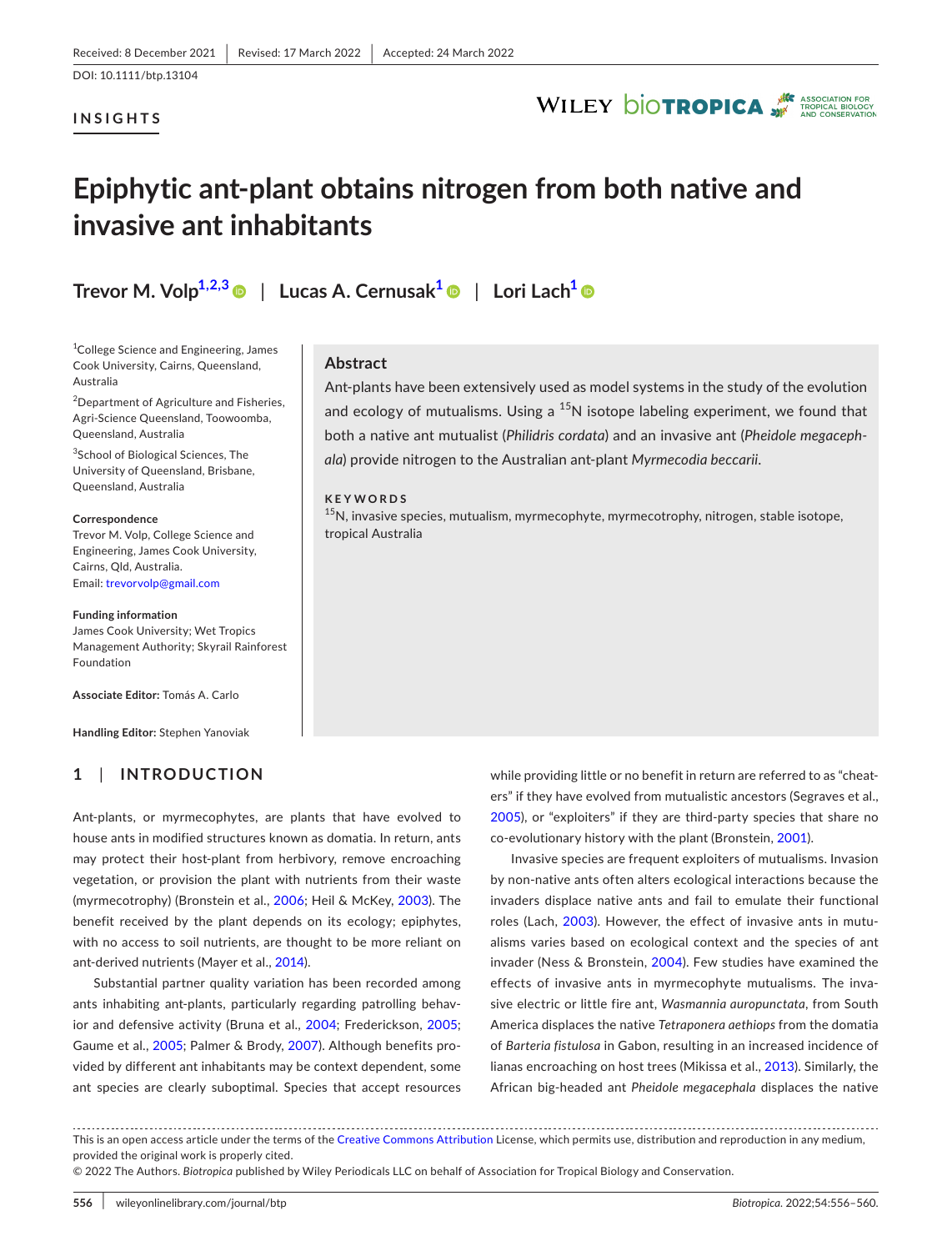### **INSIGHTS**



## **Epiphytic ant-plant obtains nitrogen from both native and invasive ant inhabitants**

**Trevor M. Volp[1,2,3](#page-0-0)** | **Lucas A. Cernusak[1](#page-0-0)** | **Lori Lac[h1](#page-0-0)**

<span id="page-0-0"></span>1 College Science and Engineering, James Cook University, Cairns, Queensland, Australia

<sup>2</sup>Department of Agriculture and Fisheries, Agri-Science Queensland, Toowoomba, Queensland, Australia

<sup>3</sup>School of Biological Sciences, The University of Queensland, Brisbane, Queensland, Australia

### **Correspondence**

Trevor M. Volp, College Science and Engineering, James Cook University, Cairns, Qld, Australia. Email: [trevorvolp@gmail.com](mailto:trevorvolp@gmail.com)

#### **Funding information**

James Cook University; Wet Tropics Management Authority; Skyrail Rainforest Foundation

**Associate Editor:** Tomás A. Carlo

**Handling Editor:** Stephen Yanoviak

## **1**  | **INTRODUCTION**

Ant-plants, or myrmecophytes, are plants that have evolved to house ants in modified structures known as domatia. In return, ants may protect their host-plant from herbivory, remove encroaching vegetation, or provision the plant with nutrients from their waste (myrmecotrophy) (Bronstein et al., [2006](#page-3-0); Heil & McKey, [2003](#page-4-0)). The benefit received by the plant depends on its ecology; epiphytes, with no access to soil nutrients, are thought to be more reliant on ant-derived nutrients (Mayer et al., [2014](#page-4-1)).

Substantial partner quality variation has been recorded among ants inhabiting ant-plants, particularly regarding patrolling behav-ior and defensive activity (Bruna et al., [2004;](#page-3-1) Frederickson, [2005](#page-4-2); Gaume et al., [2005;](#page-4-3) Palmer & Brody, [2007](#page-4-4)). Although benefits provided by different ant inhabitants may be context dependent, some ant species are clearly suboptimal. Species that accept resources

**Abstract**

Ant-plants have been extensively used as model systems in the study of the evolution and ecology of mutualisms. Using a  $^{15}N$  isotope labeling experiment, we found that both a native ant mutualist (*Philidris cordata*) and an invasive ant (*Pheidole megacephala*) provide nitrogen to the Australian ant-plant *Myrmecodia beccarii*.

### **KEYWORDS**

<sup>15</sup>N, invasive species, mutualism, myrmecophyte, myrmecotrophy, nitrogen, stable isotope, tropical Australia

> while providing little or no benefit in return are referred to as "cheaters" if they have evolved from mutualistic ancestors (Segraves et al., [2005\)](#page-4-5), or "exploiters" if they are third-party species that share no co-evolutionary history with the plant (Bronstein, [2001](#page-3-2)).

> Invasive species are frequent exploiters of mutualisms. Invasion by non-native ants often alters ecological interactions because the invaders displace native ants and fail to emulate their functional roles (Lach, [2003\)](#page-4-6). However, the effect of invasive ants in mutualisms varies based on ecological context and the species of ant invader (Ness & Bronstein, [2004](#page-4-7)). Few studies have examined the effects of invasive ants in myrmecophyte mutualisms. The invasive electric or little fire ant, *Wasmannia auropunctata*, from South America displaces the native *Tetraponera aethiops* from the domatia of *Barteria fistulosa* in Gabon, resulting in an increased incidence of lianas encroaching on host trees (Mikissa et al., [2013](#page-4-8)). Similarly, the African big-headed ant *Pheidole megacephala* displaces the native

This is an open access article under the terms of the [Creative Commons Attribution](http://creativecommons.org/licenses/by/4.0/) License, which permits use, distribution and reproduction in any medium, provided the original work is properly cited.

© 2022 The Authors. *Biotropica* published by Wiley Periodicals LLC on behalf of Association for Tropical Biology and Conservation.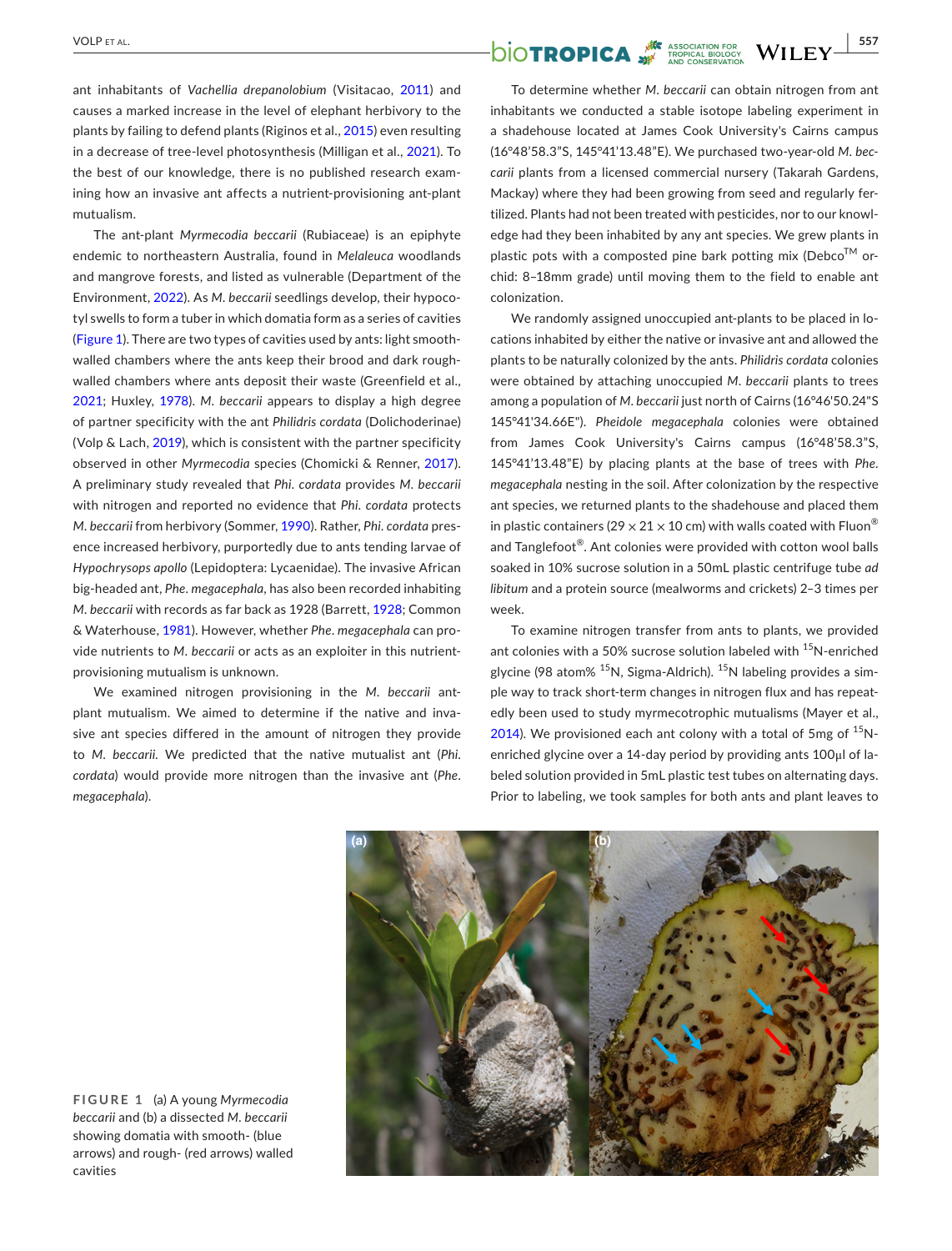ant inhabitants of *Vachellia drepanolobium* (Visitacao, [2011\)](#page-4-9) and causes a marked increase in the level of elephant herbivory to the plants by failing to defend plants (Riginos et al., [2015\)](#page-4-10) even resulting in a decrease of tree-level photosynthesis (Milligan et al., [2021](#page-4-11)). To the best of our knowledge, there is no published research examining how an invasive ant affects a nutrient-provisioning ant-plant mutualism.

The ant-plant *Myrmecodia beccarii* (Rubiaceae) is an epiphyte endemic to northeastern Australia, found in *Melaleuca* woodlands and mangrove forests, and listed as vulnerable (Department of the Environment, [2022\)](#page-4-12). As *M*. *beccarii* seedlings develop, their hypocotyl swells to form a tuber in which domatia form as a series of cavities (Figure [1\)](#page-1-0). There are two types of cavities used by ants: light smoothwalled chambers where the ants keep their brood and dark roughwalled chambers where ants deposit their waste (Greenfield et al., [2021](#page-4-13); Huxley, [1978](#page-4-14)). *M*. *beccarii* appears to display a high degree of partner specificity with the ant *Philidris cordata* (Dolichoderinae) (Volp & Lach, [2019\)](#page-4-15), which is consistent with the partner specificity observed in other *Myrmecodia* species (Chomicki & Renner, [2017](#page-3-3)). A preliminary study revealed that *Phi*. *cordata* provides *M*. *beccarii* with nitrogen and reported no evidence that *Phi*. *cordata* protects *M*. *beccarii* from herbivory (Sommer, [1990](#page-4-16)). Rather, *Phi*. *cordata* presence increased herbivory, purportedly due to ants tending larvae of *Hypochrysops apollo* (Lepidoptera: Lycaenidae). The invasive African big-headed ant, *Phe*. *megacephala*, has also been recorded inhabiting *M*. *beccarii* with records as far back as 1928 (Barrett, [1928;](#page-3-4) Common & Waterhouse, [1981\)](#page-3-5). However, whether *Phe*. *megacephala* can provide nutrients to *M*. *beccarii* or acts as an exploiter in this nutrientprovisioning mutualism is unknown.

We examined nitrogen provisioning in the *M*. *beccarii* antplant mutualism. We aimed to determine if the native and invasive ant species differed in the amount of nitrogen they provide to *M*. *beccarii*. We predicted that the native mutualist ant (*Phi*. *cordata*) would provide more nitrogen than the invasive ant (*Phe*. *megacephala*).

# $\overline{\text{VOLP ET AL.}}$   $\overline{\text{VILEY}}$   $\overline{\text{S57}}$

To determine whether *M*. *beccarii* can obtain nitrogen from ant inhabitants we conducted a stable isotope labeling experiment in a shadehouse located at James Cook University's Cairns campus (16°48'58.3"S, 145°41'13.48"E). We purchased two-year-old *M*. *beccarii* plants from a licensed commercial nursery (Takarah Gardens, Mackay) where they had been growing from seed and regularly fertilized. Plants had not been treated with pesticides, nor to our knowledge had they been inhabited by any ant species. We grew plants in plastic pots with a composted pine bark potting mix (Debco $^{TM}$  orchid: 8–18mm grade) until moving them to the field to enable ant colonization.

We randomly assigned unoccupied ant-plants to be placed in locations inhabited by either the native or invasive ant and allowed the plants to be naturally colonized by the ants. *Philidris cordata* colonies were obtained by attaching unoccupied *M*. *beccarii* plants to trees among a population of *M*. *beccarii* just north of Cairns (16°46'50.24"S 145°41'34.66E"). *Pheidole megacephala* colonies were obtained from James Cook University's Cairns campus (16°48'58.3"S, 145°41'13.48"E) by placing plants at the base of trees with *Phe*. *megacephala* nesting in the soil. After colonization by the respective ant species, we returned plants to the shadehouse and placed them in plastic containers (29  $\times$  21  $\times$  10 cm) with walls coated with Fluon<sup>®</sup> and Tanglefoot®. Ant colonies were provided with cotton wool balls soaked in 10% sucrose solution in a 50mL plastic centrifuge tube *ad libitum* and a protein source (mealworms and crickets) 2–3 times per week.

To examine nitrogen transfer from ants to plants, we provided ant colonies with a 50% sucrose solution labeled with  $^{15}$ N-enriched glycine (98 atom%  $15N$ , Sigma-Aldrich).  $15N$  labeling provides a simple way to track short-term changes in nitrogen flux and has repeatedly been used to study myrmecotrophic mutualisms (Mayer et al., [2014](#page-4-1)). We provisioned each ant colony with a total of 5mg of  $^{15}N$ enriched glycine over a 14-day period by providing ants 100μl of labeled solution provided in 5mL plastic test tubes on alternating days. Prior to labeling, we took samples for both ants and plant leaves to



<span id="page-1-0"></span>**FIGURE 1** (a) A young *Myrmecodia beccarii* and (b) a dissected *M*. *beccarii* showing domatia with smooth- (blue arrows) and rough- (red arrows) walled cavities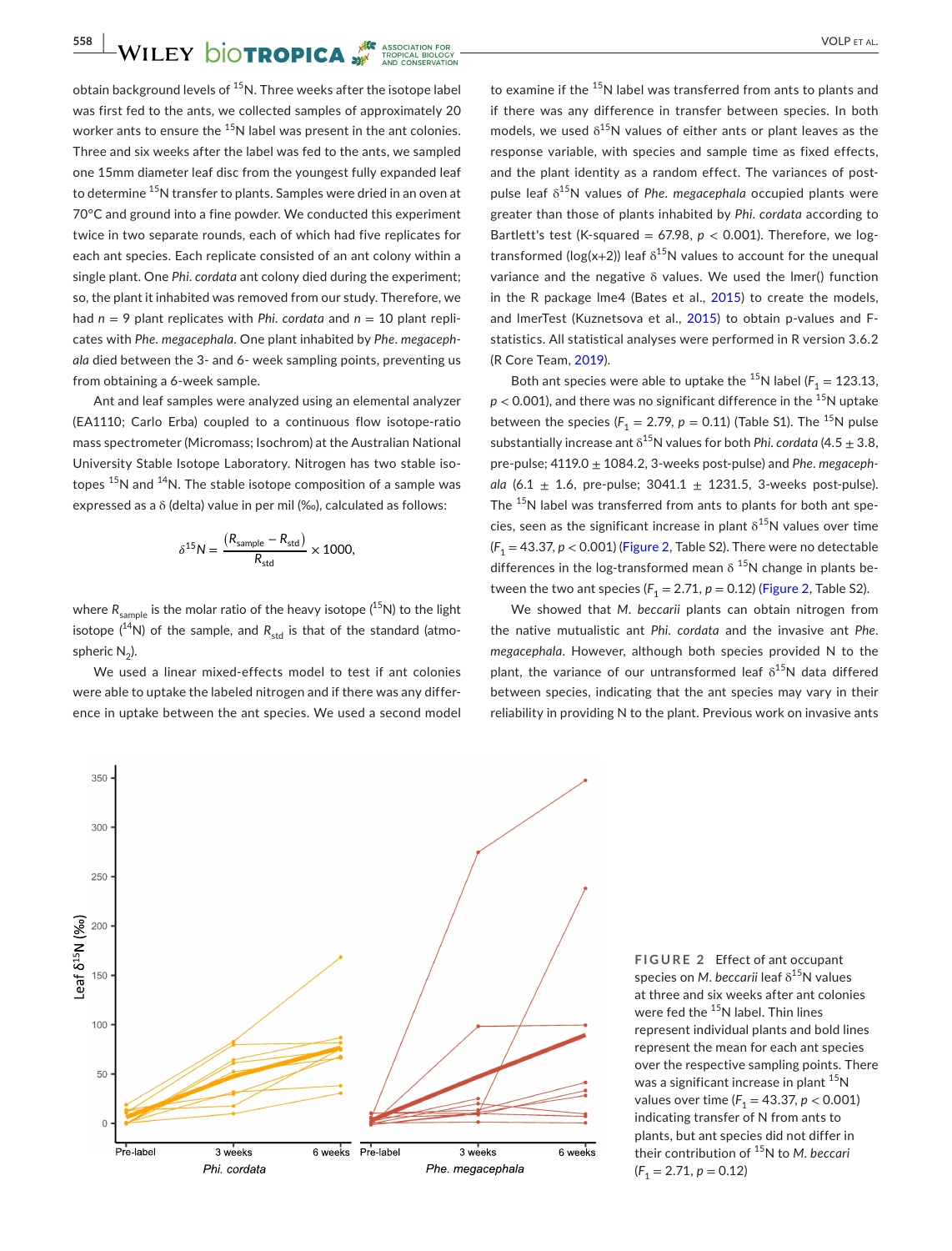**558 WILEY DIOTROPICA WE** ASSOCIATION FOR

obtain background levels of  $15$ N. Three weeks after the isotope label was first fed to the ants, we collected samples of approximately 20 worker ants to ensure the <sup>15</sup>N label was present in the ant colonies. Three and six weeks after the label was fed to the ants, we sampled one 15mm diameter leaf disc from the youngest fully expanded leaf to determine <sup>15</sup>N transfer to plants. Samples were dried in an oven at 70°C and ground into a fine powder. We conducted this experiment twice in two separate rounds, each of which had five replicates for each ant species. Each replicate consisted of an ant colony within a single plant. One *Phi*. *cordata* ant colony died during the experiment; so, the plant it inhabited was removed from our study. Therefore, we had  $n = 9$  plant replicates with *Phi. cordata* and  $n = 10$  plant replicates with *Phe*. *megacephala*. One plant inhabited by *Phe*. *megacephala* died between the 3- and 6- week sampling points, preventing us from obtaining a 6-week sample.

Ant and leaf samples were analyzed using an elemental analyzer (EA1110; Carlo Erba) coupled to a continuous flow isotope-ratio mass spectrometer (Micromass; Isochrom) at the Australian National University Stable Isotope Laboratory. Nitrogen has two stable isotopes  $15N$  and  $14N$ . The stable isotope composition of a sample was expressed as a δ (delta) value in per mil (‰), calculated as follows:

$$
\delta^{15} N = \frac{(R_{\text{sample}} - R_{\text{std}})}{R_{\text{std}}} \times 1000,
$$

where  $R_{\text{sample}}$  is the molar ratio of the heavy isotope ( $^{15}N$ ) to the light isotope  $(^{14}N)$  of the sample, and  $R_{std}$  is that of the standard (atmospheric  $N_2$ ).

We used a linear mixed-effects model to test if ant colonies were able to uptake the labeled nitrogen and if there was any difference in uptake between the ant species. We used a second model

to examine if the <sup>15</sup>N label was transferred from ants to plants and if there was any difference in transfer between species. In both models, we used  $\delta^{15}N$  values of either ants or plant leaves as the response variable, with species and sample time as fixed effects, and the plant identity as a random effect. The variances of postpulse leaf δ15N values of *Phe*. *megacephala* occupied plants were greater than those of plants inhabited by *Phi*. *cordata* according to Bartlett's test (K-squared =  $67.98$ ,  $p < 0.001$ ). Therefore, we logtransformed ( $log(x+2)$ ) leaf  $\delta^{15}N$  values to account for the unequal variance and the negative δ values. We used the lmer() function in the R package lme4 (Bates et al., [2015\)](#page-3-6) to create the models, and lmerTest (Kuznetsova et al., [2015\)](#page-4-17) to obtain p-values and Fstatistics. All statistical analyses were performed in R version 3.6.2 (R Core Team, [2019\)](#page-4-18).

Both ant species were able to uptake the  $^{15}$ N label ( $F_1 = 123.13$ ,  $p < 0.001$ ), and there was no significant difference in the <sup>15</sup>N uptake between the species ( $F_1 = 2.79$ ,  $p = 0.11$ ) (Table S1). The <sup>15</sup>N pulse substantially increase ant δ15N values for both *Phi*. *cordata* (4.5 ± 3.8, pre-pulse; 4119.0 ± 1084.2, 3-weeks post-pulse) and *Phe*. *megacephala* (6.1  $\pm$  1.6, pre-pulse; 3041.1  $\pm$  1231.5, 3-weeks post-pulse). The <sup>15</sup>N label was transferred from ants to plants for both ant species, seen as the significant increase in plant  $\delta^{15}N$  values over time  $(F<sub>1</sub> = 43.37, p < 0.001)$  (Figure [2,](#page-2-0) Table S2). There were no detectable differences in the log-transformed mean  $\delta$ <sup>15</sup>N change in plants between the two ant species  $(F_1 = 2.71, p = 0.12)$  $(F_1 = 2.71, p = 0.12)$  $(F_1 = 2.71, p = 0.12)$  (Figure 2, Table S2).

We showed that *M*. *beccarii* plants can obtain nitrogen from the native mutualistic ant *Phi*. *cordata* and the invasive ant *Phe*. *megacephala*. However, although both species provided N to the plant, the variance of our untransformed leaf  $\delta^{15}N$  data differed between species, indicating that the ant species may vary in their reliability in providing N to the plant. Previous work on invasive ants

> <span id="page-2-0"></span>**FIGURE 2** Effect of ant occupant species on *M. beccarii* leaf δ<sup>15</sup>N values at three and six weeks after ant colonies were fed the  $15$ N label. Thin lines represent individual plants and bold lines represent the mean for each ant species over the respective sampling points. There was a significant increase in plant  $15N$ values over time ( $F_1 = 43.37, p < 0.001$ ) indicating transfer of N from ants to plants, but ant species did not differ in their contribution of 15N to *M*. *beccari*  $(F_1 = 2.71, p = 0.12)$

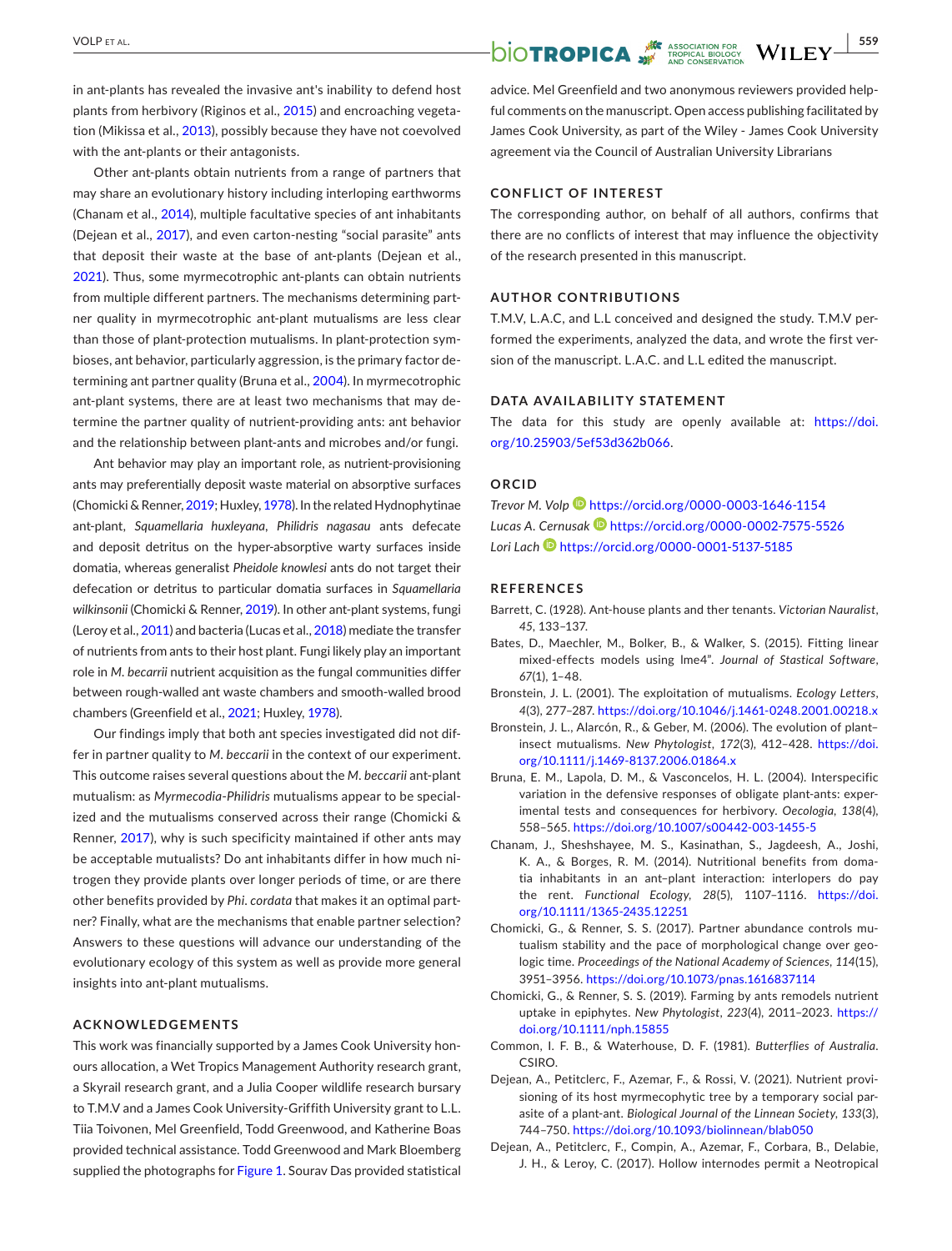in ant-plants has revealed the invasive ant's inability to defend host plants from herbivory (Riginos et al., [2015\)](#page-4-10) and encroaching vegetation (Mikissa et al., [2013](#page-4-8)), possibly because they have not coevolved with the ant-plants or their antagonists.

Other ant-plants obtain nutrients from a range of partners that may share an evolutionary history including interloping earthworms (Chanam et al., [2014](#page-3-7)), multiple facultative species of ant inhabitants (Dejean et al., [2017\)](#page-3-8), and even carton-nesting "social parasite" ants that deposit their waste at the base of ant-plants (Dejean et al., [2021](#page-3-9)). Thus, some myrmecotrophic ant-plants can obtain nutrients from multiple different partners. The mechanisms determining partner quality in myrmecotrophic ant-plant mutualisms are less clear than those of plant-protection mutualisms. In plant-protection symbioses, ant behavior, particularly aggression, is the primary factor determining ant partner quality (Bruna et al., [2004\)](#page-3-1). In myrmecotrophic ant-plant systems, there are at least two mechanisms that may determine the partner quality of nutrient-providing ants: ant behavior and the relationship between plant-ants and microbes and/or fungi.

Ant behavior may play an important role, as nutrient-provisioning ants may preferentially deposit waste material on absorptive surfaces (Chomicki & Renner, [2019](#page-3-10); Huxley, [1978\)](#page-4-14). In the related Hydnophytinae ant-plant, *Squamellaria huxleyana*, *Philidris nagasau* ants defecate and deposit detritus on the hyper-absorptive warty surfaces inside domatia, whereas generalist *Pheidole knowlesi* ants do not target their defecation or detritus to particular domatia surfaces in *Squamellaria wilkinsonii* (Chomicki & Renner, [2019](#page-3-10)). In other ant-plant systems, fungi (Leroy et al., [2011](#page-4-19)) and bacteria (Lucas et al., [2018\)](#page-4-20) mediate the transfer of nutrients from ants to their host plant. Fungi likely play an important role in *M*. *becarrii* nutrient acquisition as the fungal communities differ between rough-walled ant waste chambers and smooth-walled brood chambers (Greenfield et al., [2021;](#page-4-13) Huxley, [1978](#page-4-14)).

Our findings imply that both ant species investigated did not differ in partner quality to *M*. *beccarii* in the context of our experiment. This outcome raises several questions about the *M*. *beccarii* ant-plant mutualism: as *Myrmecodia*-*Philidris* mutualisms appear to be specialized and the mutualisms conserved across their range (Chomicki & Renner, [2017](#page-3-3)), why is such specificity maintained if other ants may be acceptable mutualists? Do ant inhabitants differ in how much nitrogen they provide plants over longer periods of time, or are there other benefits provided by *Phi*. *cordata* that makes it an optimal partner? Finally, what are the mechanisms that enable partner selection? Answers to these questions will advance our understanding of the evolutionary ecology of this system as well as provide more general insights into ant-plant mutualisms.

### **ACKNOWLEDGEMENTS**

This work was financially supported by a James Cook University honours allocation, a Wet Tropics Management Authority research grant, a Skyrail research grant, and a Julia Cooper wildlife research bursary to T.M.V and a James Cook University-Griffith University grant to L.L. Tiia Toivonen, Mel Greenfield, Todd Greenwood, and Katherine Boas provided technical assistance. Todd Greenwood and Mark Bloemberg supplied the photographs for Figure [1.](#page-1-0) Sourav Das provided statistical

# $\overline{\text{VOLP ET AL.}}$   $\overline{\text{OIOTPOPICA}}$   $\overline{\text{WILEY}}$   $\overline{\text{S59}}$

advice. Mel Greenfield and two anonymous reviewers provided helpful comments on the manuscript. Open access publishing facilitated by James Cook University, as part of the Wiley - James Cook University agreement via the Council of Australian University Librarians

### **CONFLICT OF INTEREST**

The corresponding author, on behalf of all authors, confirms that there are no conflicts of interest that may influence the objectivity of the research presented in this manuscript.

### **AUTHOR CONTRIBUTIONS**

T.M.V, L.A.C, and L.L conceived and designed the study. T.M.V performed the experiments, analyzed the data, and wrote the first version of the manuscript. L.A.C. and L.L edited the manuscript.

### **DATA AVAILABILITY STATEMENT**

The data for this study are openly available at: [https://doi.](https://doi.org/10.25903/5ef53d362b066) [org/10.25903/5ef53d362b066](https://doi.org/10.25903/5ef53d362b066).

### **ORCID**

*Trevor M. Vol[p](https://orcid.org/0000-0003-1646-1154)* <https://orcid.org/0000-0003-1646-1154> Lucas A. Cernusak **b** <https://orcid.org/0000-0002-7575-5526> *Lori Lach* <https://orcid.org/0000-0001-5137-5185>

### **REFERENCES**

- <span id="page-3-4"></span>Barrett, C. (1928). Ant-house plants and ther tenants. *Victorian Nauralist*, *45*, 133–137.
- <span id="page-3-6"></span>Bates, D., Maechler, M., Bolker, B., & Walker, S. (2015). Fitting linear mixed-effects models using lme4". *Journal of Stastical Software*, *67*(1), 1–48.
- <span id="page-3-2"></span>Bronstein, J. L. (2001). The exploitation of mutualisms. *Ecology Letters*, *4*(3), 277–287.<https://doi.org/10.1046/j.1461-0248.2001.00218.x>
- <span id="page-3-0"></span>Bronstein, J. L., Alarcón, R., & Geber, M. (2006). The evolution of plant– insect mutualisms. *New Phytologist*, *172*(3), 412–428. [https://doi.](https://doi.org/10.1111/j.1469-8137.2006.01864.x) [org/10.1111/j.1469-8137.2006.01864.x](https://doi.org/10.1111/j.1469-8137.2006.01864.x)
- <span id="page-3-1"></span>Bruna, E. M., Lapola, D. M., & Vasconcelos, H. L. (2004). Interspecific variation in the defensive responses of obligate plant-ants: experimental tests and consequences for herbivory. *Oecologia*, *138*(4), 558–565. <https://doi.org/10.1007/s00442-003-1455-5>
- <span id="page-3-7"></span>Chanam, J., Sheshshayee, M. S., Kasinathan, S., Jagdeesh, A., Joshi, K. A., & Borges, R. M. (2014). Nutritional benefits from domatia inhabitants in an ant–plant interaction: interlopers do pay the rent. *Functional Ecology*, *28*(5), 1107–1116. [https://doi.](https://doi.org/10.1111/1365-2435.12251) [org/10.1111/1365-2435.12251](https://doi.org/10.1111/1365-2435.12251)
- <span id="page-3-3"></span>Chomicki, G., & Renner, S. S. (2017). Partner abundance controls mutualism stability and the pace of morphological change over geologic time. *Proceedings of the National Academy of Sciences*, *114*(15), 3951–3956. <https://doi.org/10.1073/pnas.1616837114>
- <span id="page-3-10"></span>Chomicki, G., & Renner, S. S. (2019). Farming by ants remodels nutrient uptake in epiphytes. *New Phytologist*, *223*(4), 2011–2023. [https://](https://doi.org/10.1111/nph.15855) [doi.org/10.1111/nph.15855](https://doi.org/10.1111/nph.15855)
- <span id="page-3-5"></span>Common, I. F. B., & Waterhouse, D. F. (1981). *Butterflies of Australia*. CSIRO.
- <span id="page-3-9"></span>Dejean, A., Petitclerc, F., Azemar, F., & Rossi, V. (2021). Nutrient provisioning of its host myrmecophytic tree by a temporary social parasite of a plant-ant. *Biological Journal of the Linnean Society*, *133*(3), 744–750. <https://doi.org/10.1093/biolinnean/blab050>
- <span id="page-3-8"></span>Dejean, A., Petitclerc, F., Compin, A., Azemar, F., Corbara, B., Delabie, J. H., & Leroy, C. (2017). Hollow internodes permit a Neotropical